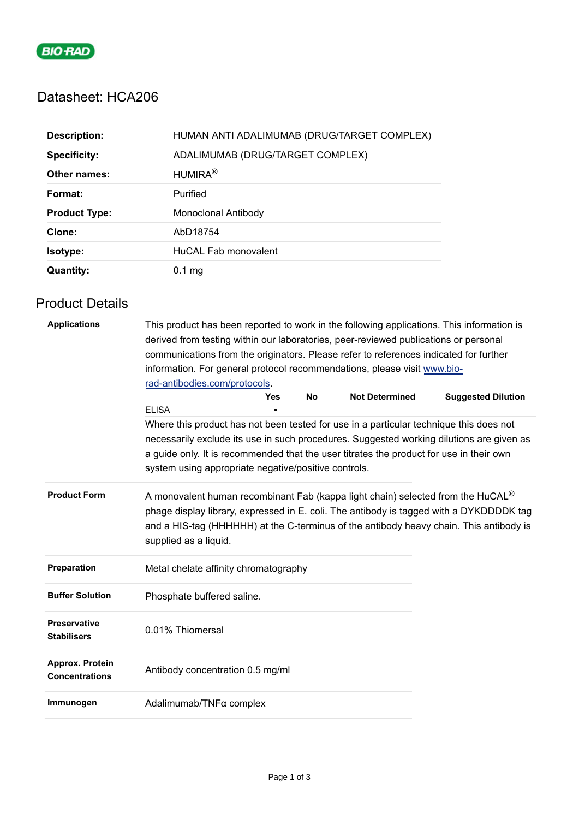

# Datasheet: HCA206

| <b>Description:</b>  | HUMAN ANTI ADALIMUMAB (DRUG/TARGET COMPLEX) |
|----------------------|---------------------------------------------|
| <b>Specificity:</b>  | ADALIMUMAB (DRUG/TARGET COMPLEX)            |
| Other names:         | HUMIRA <sup>®</sup>                         |
| Format:              | Purified                                    |
| <b>Product Type:</b> | Monoclonal Antibody                         |
| Clone:               | AbD18754                                    |
| Isotype:             | HuCAL Fab monovalent                        |
| <b>Quantity:</b>     | 0.1 <sub>ma</sub>                           |

## Product Details

| <b>Applications</b>                       | This product has been reported to work in the following applications. This information is<br>derived from testing within our laboratories, peer-reviewed publications or personal<br>communications from the originators. Please refer to references indicated for further<br>information. For general protocol recommendations, please visit www.bio- |            |           |                       |                                                                                        |  |  |
|-------------------------------------------|--------------------------------------------------------------------------------------------------------------------------------------------------------------------------------------------------------------------------------------------------------------------------------------------------------------------------------------------------------|------------|-----------|-----------------------|----------------------------------------------------------------------------------------|--|--|
|                                           |                                                                                                                                                                                                                                                                                                                                                        |            |           |                       |                                                                                        |  |  |
|                                           | rad-antibodies.com/protocols.                                                                                                                                                                                                                                                                                                                          |            |           |                       |                                                                                        |  |  |
|                                           | <b>ELISA</b>                                                                                                                                                                                                                                                                                                                                           | <b>Yes</b> | <b>No</b> | <b>Not Determined</b> | <b>Suggested Dilution</b>                                                              |  |  |
|                                           |                                                                                                                                                                                                                                                                                                                                                        |            |           |                       | Where this product has not been tested for use in a particular technique this does not |  |  |
|                                           | necessarily exclude its use in such procedures. Suggested working dilutions are given as                                                                                                                                                                                                                                                               |            |           |                       |                                                                                        |  |  |
|                                           | a guide only. It is recommended that the user titrates the product for use in their own<br>system using appropriate negative/positive controls.                                                                                                                                                                                                        |            |           |                       |                                                                                        |  |  |
| <b>Product Form</b>                       | A monovalent human recombinant Fab (kappa light chain) selected from the HuCAL <sup>®</sup><br>phage display library, expressed in E. coli. The antibody is tagged with a DYKDDDDK tag<br>and a HIS-tag (HHHHHH) at the C-terminus of the antibody heavy chain. This antibody is<br>supplied as a liquid.                                              |            |           |                       |                                                                                        |  |  |
| Preparation                               | Metal chelate affinity chromatography                                                                                                                                                                                                                                                                                                                  |            |           |                       |                                                                                        |  |  |
| <b>Buffer Solution</b>                    | Phosphate buffered saline.                                                                                                                                                                                                                                                                                                                             |            |           |                       |                                                                                        |  |  |
| <b>Preservative</b><br><b>Stabilisers</b> | 0.01% Thiomersal                                                                                                                                                                                                                                                                                                                                       |            |           |                       |                                                                                        |  |  |
| Approx. Protein<br><b>Concentrations</b>  | Antibody concentration 0.5 mg/ml                                                                                                                                                                                                                                                                                                                       |            |           |                       |                                                                                        |  |  |
| Immunogen                                 | Adalimumab/TNFα complex                                                                                                                                                                                                                                                                                                                                |            |           |                       |                                                                                        |  |  |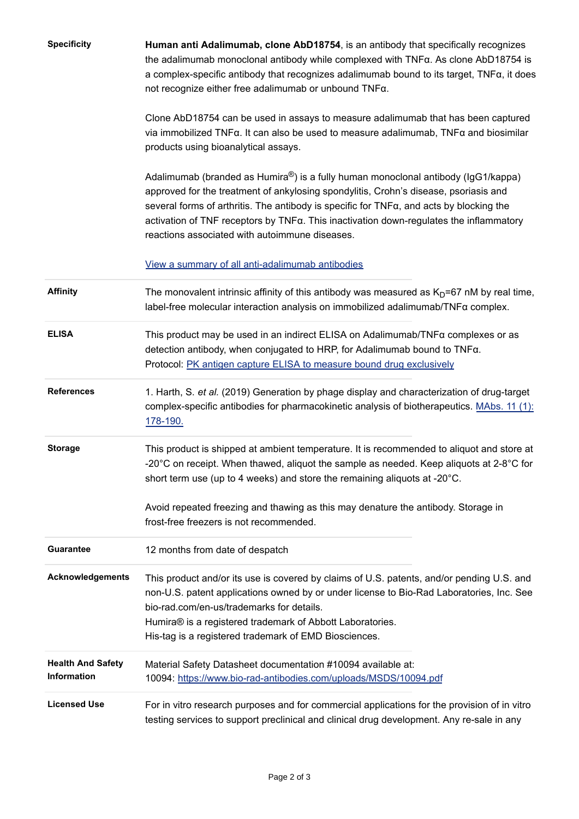| <b>Specificity</b>                      | Human anti Adalimumab, clone AbD18754, is an antibody that specifically recognizes<br>the adalimumab monoclonal antibody while complexed with TNFa. As clone AbD18754 is<br>a complex-specific antibody that recognizes adalimumab bound to its target, TNFa, it does<br>not recognize either free adalimumab or unbound TNFa.                                                                                                   |
|-----------------------------------------|----------------------------------------------------------------------------------------------------------------------------------------------------------------------------------------------------------------------------------------------------------------------------------------------------------------------------------------------------------------------------------------------------------------------------------|
|                                         | Clone AbD18754 can be used in assays to measure adalimumab that has been captured<br>via immobilized $TNFa$ . It can also be used to measure adalimumab, $TNFa$ and biosimilar<br>products using bioanalytical assays.                                                                                                                                                                                                           |
|                                         | Adalimumab (branded as Humira®) is a fully human monoclonal antibody (IgG1/kappa)<br>approved for the treatment of ankylosing spondylitis, Crohn's disease, psoriasis and<br>several forms of arthritis. The antibody is specific for $TNF\alpha$ , and acts by blocking the<br>activation of TNF receptors by $TNF\alpha$ . This inactivation down-regulates the inflammatory<br>reactions associated with autoimmune diseases. |
|                                         | View a summary of all anti-adalimumab antibodies                                                                                                                                                                                                                                                                                                                                                                                 |
| <b>Affinity</b>                         | The monovalent intrinsic affinity of this antibody was measured as $KD=67$ nM by real time,<br>label-free molecular interaction analysis on immobilized adalimumab/TNFa complex.                                                                                                                                                                                                                                                 |
| <b>ELISA</b>                            | This product may be used in an indirect ELISA on Adalimumab/TNFa complexes or as<br>detection antibody, when conjugated to HRP, for Adalimumab bound to TNFa.<br>Protocol: PK antigen capture ELISA to measure bound drug exclusively                                                                                                                                                                                            |
| <b>References</b>                       | 1. Harth, S. et al. (2019) Generation by phage display and characterization of drug-target<br>complex-specific antibodies for pharmacokinetic analysis of biotherapeutics. MAbs. 11 (1):<br>178-190.                                                                                                                                                                                                                             |
| <b>Storage</b>                          | This product is shipped at ambient temperature. It is recommended to aliquot and store at<br>-20 $^{\circ}$ C on receipt. When thawed, aliquot the sample as needed. Keep aliquots at 2-8 $^{\circ}$ C for<br>short term use (up to 4 weeks) and store the remaining aliquots at -20°C.                                                                                                                                          |
|                                         | Avoid repeated freezing and thawing as this may denature the antibody. Storage in<br>frost-free freezers is not recommended.                                                                                                                                                                                                                                                                                                     |
| <b>Guarantee</b>                        | 12 months from date of despatch                                                                                                                                                                                                                                                                                                                                                                                                  |
| Acknowledgements                        | This product and/or its use is covered by claims of U.S. patents, and/or pending U.S. and<br>non-U.S. patent applications owned by or under license to Bio-Rad Laboratories, Inc. See<br>bio-rad.com/en-us/trademarks for details.<br>Humira® is a registered trademark of Abbott Laboratories.<br>His-tag is a registered trademark of EMD Biosciences.                                                                         |
| <b>Health And Safety</b><br>Information | Material Safety Datasheet documentation #10094 available at:<br>10094: https://www.bio-rad-antibodies.com/uploads/MSDS/10094.pdf                                                                                                                                                                                                                                                                                                 |
| <b>Licensed Use</b>                     | For in vitro research purposes and for commercial applications for the provision of in vitro<br>testing services to support preclinical and clinical drug development. Any re-sale in any                                                                                                                                                                                                                                        |